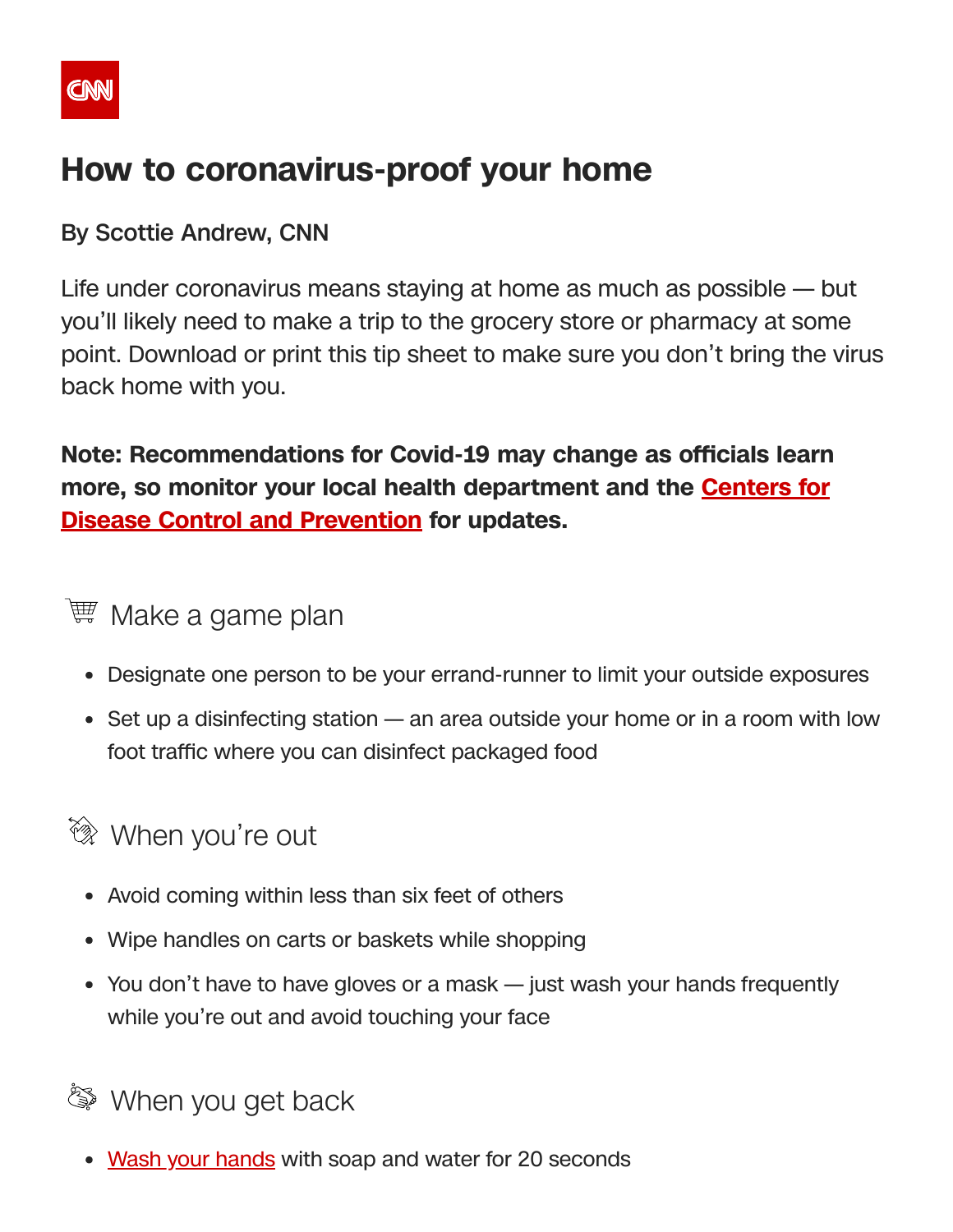

### **How to coronavirus-proof your home**

#### By Scottie Andrew, CNN

Life under coronavirus means staying at home as much as possible — but you'll likely need to make a trip to the grocery store or pharmacy at some point. Download or print this tip sheet to make sure you don't bring the virus back home with you.

**Note: Recommendations for Covid-19 may change as officials learn more, so monitor your local health department and the Centers for Disease Control and Prevention for updates.**

#### Make a game plan

- Designate one person to be your errand-runner to limit your outside exposures
- Set up a disinfecting station an area outside your home or in a room with low foot traffic where you can disinfect packaged food

#### <sup><sup>◇</sup> When you're out</sup>

- Avoid coming within less than six feet of others
- Wipe handles on carts or baskets while shopping
- You don't have to have gloves or a mask just wash your hands frequently while you're out and avoid touching your face

**When you get back** 

• Wash your hands with soap and water for 20 seconds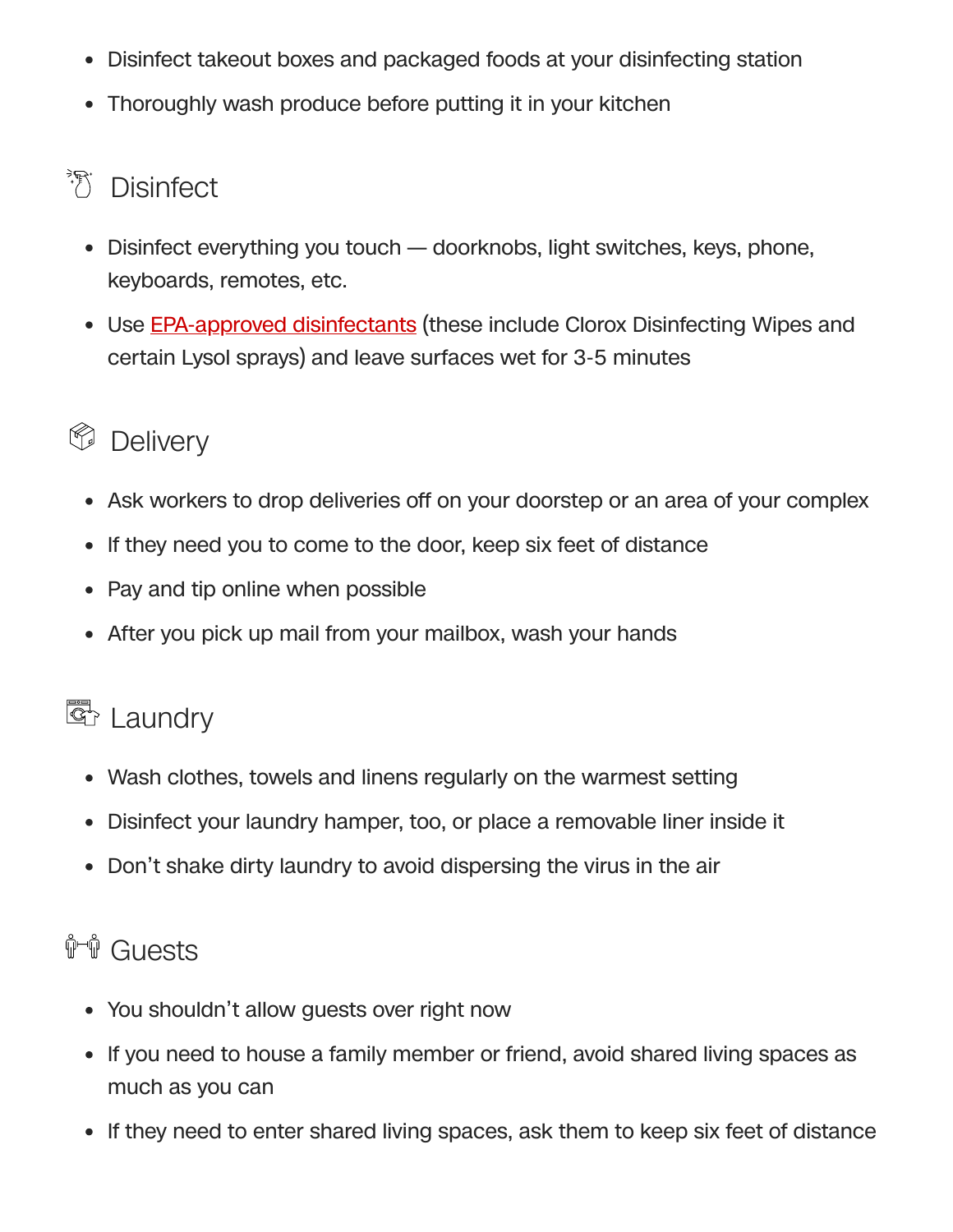- Disinfect takeout boxes and packaged foods at your disinfecting station
- Thoroughly wash produce before putting it in your kitchen

#### <sup>资</sup> Disinfect

- Disinfect everything you touch doorknobs, light switches, keys, phone, keyboards, remotes, etc.
- Use **EPA-approved disinfectants** (these include Clorox Disinfecting Wipes and certain Lysol sprays) and leave surfaces wet for 3-5 minutes

#### M) **Delivery**

- Ask workers to drop deliveries off on your doorstep or an area of your complex
- If they need you to come to the door, keep six feet of distance
- Pay and tip online when possible
- After you pick up mail from your mailbox, wash your hands

## **E** Laundry

- Wash clothes, towels and linens regularly on the warmest setting
- Disinfect your laundry hamper, too, or place a removable liner inside it
- Don't shake dirty laundry to avoid dispersing the virus in the air

# Ŵ⊤Ŵ Guests

- You shouldn't allow guests over right now
- If you need to house a family member or friend, avoid shared living spaces as much as you can
- If they need to enter shared living spaces, ask them to keep six feet of distance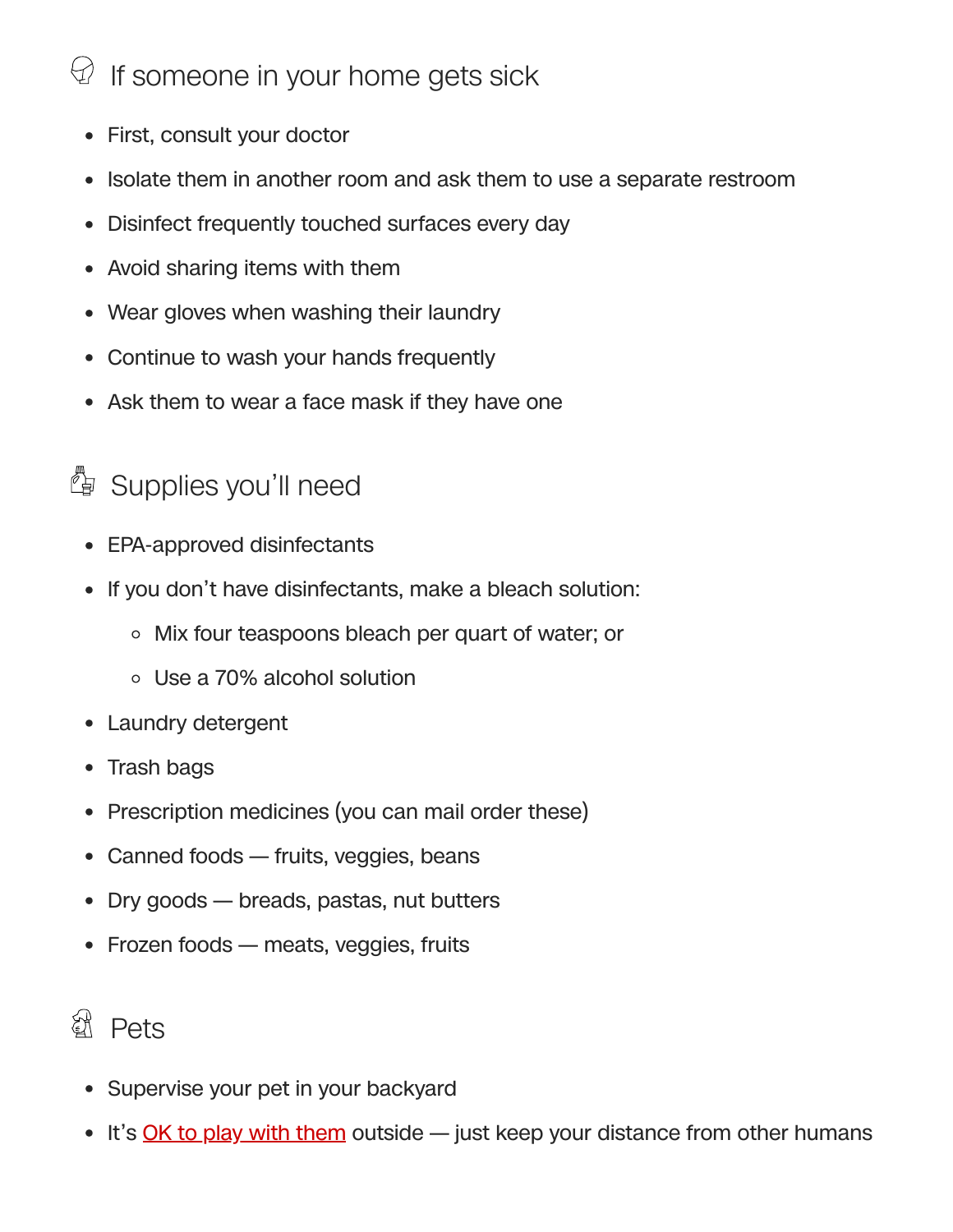#### If someone in your home gets sick  $\bigcirc$

- First, consult your doctor
- Isolate them in another room and ask them to use a separate restroom
- Disinfect frequently touched surfaces every day
- Avoid sharing items with them
- Wear gloves when washing their laundry
- Continue to wash your hands frequently
- Ask them to wear a face mask if they have one

### $\mathbb{\Phi}$  Supplies you'll need

- EPA-approved disinfectants
- If you don't have disinfectants, make a bleach solution:
	- Mix four teaspoons bleach per quart of water; or
	- Use a 70% alcohol solution
- Laundry detergent
- Trash bags
- Prescription medicines (you can mail order these)
- Canned foods fruits, veggies, beans
- Dry goods breads, pastas, nut butters
- Frozen foods meats, veggies, fruits

## **图 Pets**

- Supervise your pet in your backyard
- It's OK to play with them outside just keep your distance from other humans